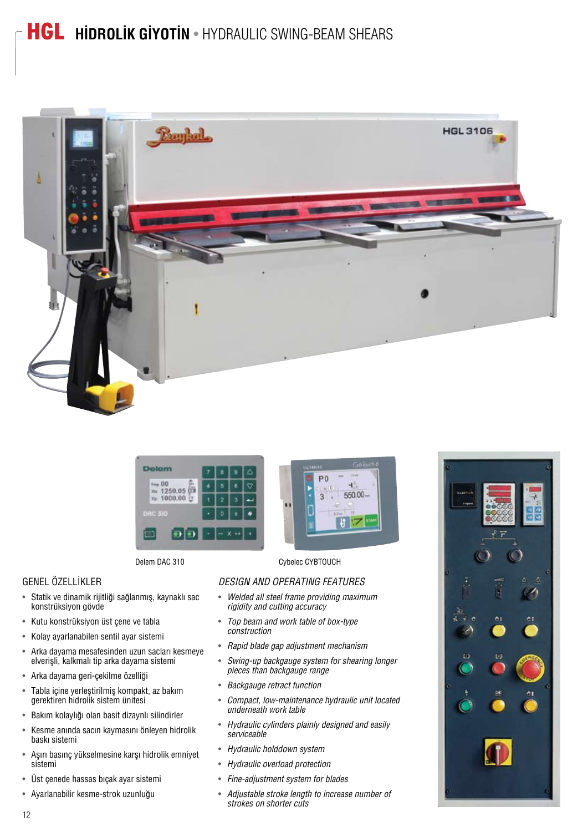## HGL **HİDROLİK GİYOTİN** • HYDRAULIC SWING-BEAM SHEARS





## GENEL ÖZELLİKLER

- Statik ve dinamik rijitliği sağlanmış, kaynaklı sac konstrüksiyon gövde
- Kutu konstrüksiyon üst çene ve tabla
- Kolay ayarlanabilen sentil ayar sistemi
- Arka dayama mesafesinden uzun sacları kesmeye elverişli, kalkmalı tip arka dayama sistemi
- Arka dayama geri-çekilme özelliği
- Tabla içine yerleştirilmiş kompakt, az bakım gerektiren hidrolik sistem ünitesi
- Bakım kolaylığı olan basit dizaynlı silindirler
- Kesme anında sacın kaymasını önleyen hidrolik baskı sistemi
- Asırı basınc yükselmesine karşı hidrolik emniyet sistemi
- Üst çenede hassas bıçak ayar sistemi
- Ayarlanabilir kesme-strok uzunluğu



Delem DAC 310 Cybelec CYBTOUCH

#### *DESIGN AND OPERATING FEATURES*

- *Welded all steel frame providing maximum rigidity and cutting accuracy*
- *Top beam and work table of box-type construction*
- *Rapid blade gap adjustment mechanism*
- *Swing-up backgauge system for shearing longer pieces than backgauge range*
- *Backgauge retract function*
- *Compact, low-maintenance hydraulic unit located underneath work table*
- *Hydraulic cylinders plainly designed and easily serviceable*
- *Hydraulic holddown system*
- *Hydraulic overload protection*
- *Fine-adjustment system for blades*
- *Adjustable stroke length to increase number of strokes on shorter cuts*



12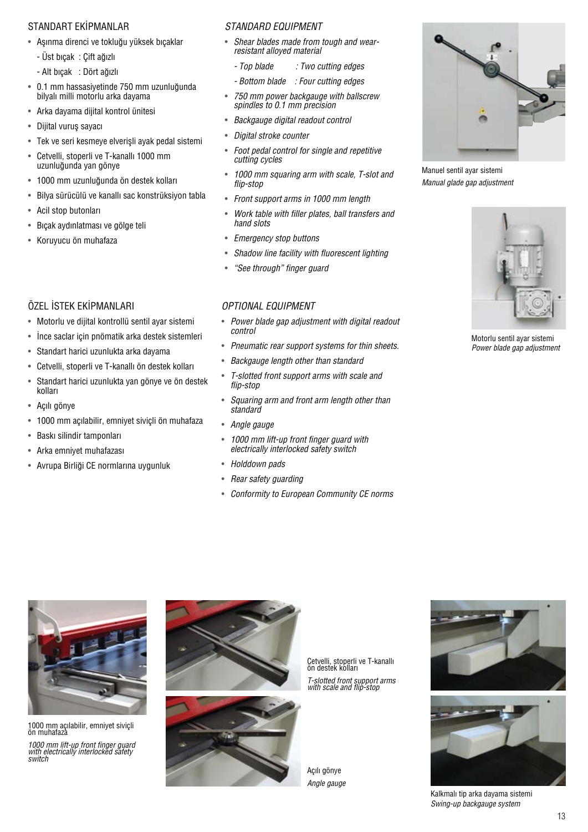#### STANDART EKİPMANLAR

- Aşınma direnci ve tokluğu yüksek bıçaklar
	- Üst bıçak : Çift ağızlı
	- Alt bıcak : Dört ağızlı
- 0.1 mm hassasiyetinde 750 mm uzunluğunda bilyalı milli motorlu arka dayama
- Arka dayama dijital kontrol ünitesi
- Diiital vurus savacı
- Tek ve seri kesmeye elverişli ayak pedal sistemi
- Cetvelli, stoperli ve T-kanallı 1000 mm uzunluğunda yan gönye
- 1000 mm uzunluğunda ön destek kolları
- Bilya sürücülü ve kanallı sac konstrüksiyon tabla
- Acil stop butonları
- Bıçak aydınlatması ve gölge teli
- Koruyucu ön muhafaza

## ÖZEL İSTEK EKİPMANI ARI

- Motorlu ve dijital kontrollü sentil ayar sistemi
- İnce saclar için pnömatik arka destek sistemleri
- Standart harici uzunlukta arka dayama
- Cetvelli, stoperli ve T-kanallı ön destek kolları
- Standart harici uzunlukta yan gönye ve ön destek kolları
- Açılı gönye
- 1000 mm açılabilir, emniyet siviçli ön muhafaza
- Baskı silindir tamponları
- Arka emnivet muhafazası
- Avrupa Birliği CE normlarına uygunluk

#### *STANDARD EQUIPMENT*

- *Shear blades made from tough and wearresistant alloyed material*
	- *Top blade : Two cutting edges*
	- *Bottom blade : Four cutting edges*
- *750 mm power backgauge with ballscrew spindles to 0.1 mm precision*
- *Backgauge digital readout control*
- *Digital stroke counter*
- *Foot pedal control for single and repetitive cutting cycles*
- *1000 mm squaring arm with scale, T-slot and flip-stop*
- *Front support arms in 1000 mm length*
- *Work table with filler plates, ball transfers and hand slots*
- *Emergency stop buttons*
- *Shadow line facility with fluorescent lighting*
- *"See through" finger guard*

### *OPTIONAL EQUIPMENT*

- *Power blade gap adjustment with digital readout control*
- *Pneumatic rear support systems for thin sheets.*
- *Backgauge length other than standard*
- *T-slotted front support arms with scale and flip-stop*
- *Squaring arm and front arm length other than standard*
- *Angle gauge*
- *1000 mm lift-up front finger guard with electrically interlocked safety switch*
- *Holddown pads*
- *Rear safety guarding*
- *Conformity to European Community CE norms*



Manuel sentil ayar sistemi *Manual glade gap adjustment*



Motorlu sentil ayar sistemi *Power blade gap adjustment*



1000 mm açılabilir, emniyet siviçli<br>ön muhafaza

*1000 mm lift-up front finger guard with electrically interlocked safety switch*



Cetvelli, stoperli ve T-kanallı<br>ön destek kolları *T-slotted front support arms with scale and flip-stop*

Açılı gönye *Angle gauge*





Kalkmalı tip arka dayama sistemi *Swing-up backgauge system*